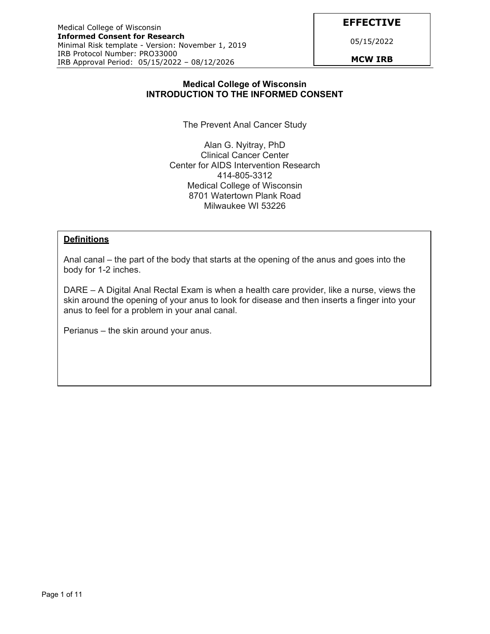**EFFECTIVE** 

05/15/2022

#### **Medical College of Wisconsin INTRODUCTION TO THE INFORMED CONSENT**

The Prevent Anal Cancer Study

Alan G. Nyitray, PhD Clinical Cancer Center Center for AIDS Intervention Research 414-805-3312 Medical College of Wisconsin 8701 Watertown Plank Road Milwaukee WI 53226

#### **Definitions**

Anal canal – the part of the body that starts at the opening of the anus and goes into the body for 1-2 inches.

DARE – A Digital Anal Rectal Exam is when a health care provider, like a nurse, views the skin around the opening of your anus to look for disease and then inserts a finger into your anus to feel for a problem in your anal canal.

Perianus – the skin around your anus.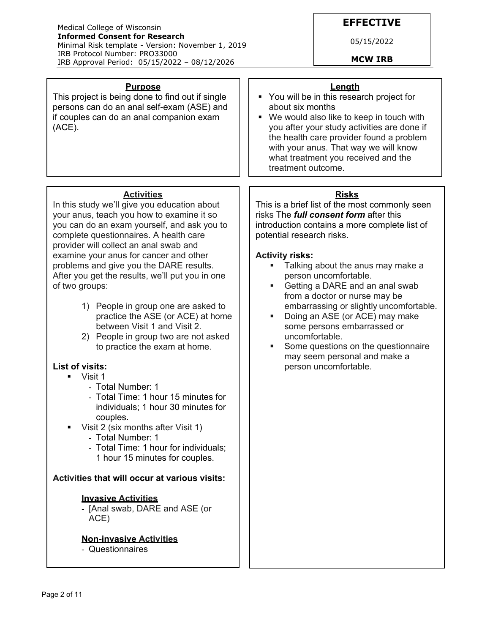#### Medical College of Wisconsin **Informed Consent for Research**  Minimal Risk template - Version: November 1, 2019 IRB Protocol Number: PRO33000 IRB Approval Period: 05/15/2022 – 08/12/2026 **MCW IRB**

**Purpose**  This project is being done to find out if single persons can do an anal self-exam (ASE) and if couples can do an anal companion exam

## **EFFECTIVE**

05/15/2022

#### **Length**

- **You will be in this research project for** about six months
- We would also like to keep in touch with you after your study activities are done if the health care provider found a problem with your anus. That way we will know what treatment you received and the treatment outcome.

## **Risks**

This is a brief list of the most commonly seen risks The *full consent form* after this introduction contains a more complete list of potential research risks.

### **Activity risks:**

- **Talking about the anus may make a** person uncomfortable.
- Getting a DARE and an anal swab from a doctor or nurse may be embarrassing or slightly uncomfortable.
- Doing an ASE (or ACE) may make some persons embarrassed or uncomfortable.
- Some questions on the questionnaire may seem personal and make a person uncomfortable.

# **Activities**

In this study we'll give you education about your anus, teach you how to examine it so you can do an exam yourself, and ask you to complete questionnaires. A health care provider will collect an anal swab and examine your anus for cancer and other problems and give you the DARE results. After you get the results, we'll put you in one of two groups:

- 1) People in group one are asked to practice the ASE (or ACE) at home between Visit 1 and Visit 2.
- 2) People in group two are not asked to practice the exam at home.

## **List of visits:**

(ACE).

- **U** Visit 1
	- Total Number: 1
	- Total Time: 1 hour 15 minutes for individuals; 1 hour 30 minutes for couples.
- Visit 2 (six months after Visit 1)
	- Total Number: 1
	- Total Time: 1 hour for individuals; 1 hour 15 minutes for couples.

### **Activities that will occur at various visits:**

### **Invasive Activities**

- [Anal swab, DARE and ASE (or ACE)

#### **Non-invasive Activities**

- Questionnaires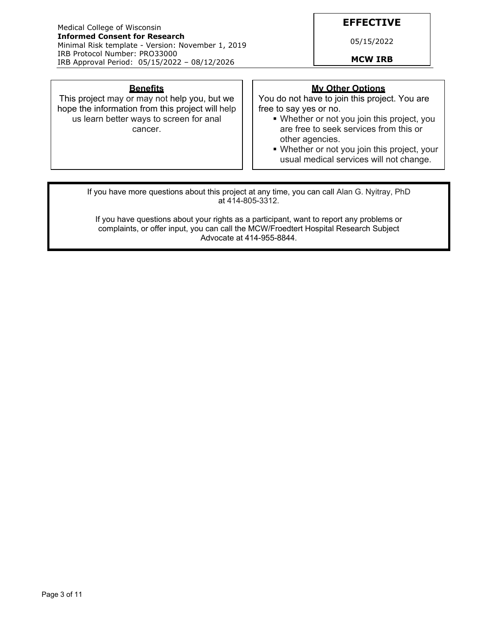#### Medical College of Wisconsin **Informed Consent for Research**  Minimal Risk template - Version: November 1, 2019 IRB Protocol Number: PRO33000 IRB Approval Period: 05/15/2022 – 08/12/2026 **MCW IRB**

## **EFFECTIVE**

05/15/2022

#### **Benefits**

This project may or may not help you, but we hope the information from this project will help us learn better ways to screen for anal cancer.

## **My Other Options**

You do not have to join this project. You are free to say yes or no.

- Whether or not you join this project, you are free to seek services from this or other agencies.
- Whether or not you join this project, your usual medical services will not change.

If you have more questions about this project at any time, you can call Alan G. Nyitray, PhD at 414-805-3312.

If you have questions about your rights as a participant, want to report any problems or complaints, or offer input, you can call the MCW/Froedtert Hospital Research Subject Advocate at 414-955-8844.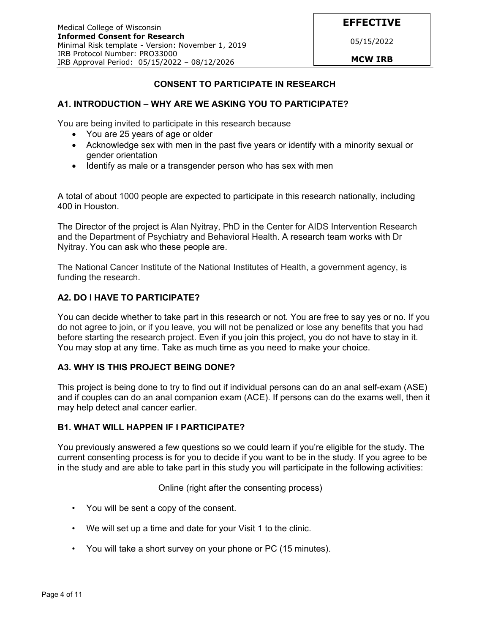05/15/2022

## **CONSENT TO PARTICIPATE IN RESEARCH**

### **A1. INTRODUCTION – WHY ARE WE ASKING YOU TO PARTICIPATE?**

You are being invited to participate in this research because

- You are 25 years of age or older
- Acknowledge sex with men in the past five years or identify with a minority sexual or gender orientation
- Identify as male or a transgender person who has sex with men

A total of about 1000 people are expected to participate in this research nationally, including 400 in Houston.

The Director of the project is Alan Nyitray, PhD in the Center for AIDS Intervention Research and the Department of Psychiatry and Behavioral Health. A research team works with Dr Nyitray. You can ask who these people are.

The National Cancer Institute of the National Institutes of Health, a government agency, is funding the research.

### **A2. DO I HAVE TO PARTICIPATE?**

You can decide whether to take part in this research or not. You are free to say yes or no. If you do not agree to join, or if you leave, you will not be penalized or lose any benefits that you had before starting the research project. Even if you join this project, you do not have to stay in it. You may stop at any time. Take as much time as you need to make your choice.

### **A3. WHY IS THIS PROJECT BEING DONE?**

This project is being done to try to find out if individual persons can do an anal self-exam (ASE) and if couples can do an anal companion exam (ACE). If persons can do the exams well, then it may help detect anal cancer earlier.

#### **B1. WHAT WILL HAPPEN IF I PARTICIPATE?**

You previously answered a few questions so we could learn if you're eligible for the study. The current consenting process is for you to decide if you want to be in the study. If you agree to be in the study and are able to take part in this study you will participate in the following activities:

Online (right after the consenting process)

- You will be sent a copy of the consent.
- We will set up a time and date for your Visit 1 to the clinic.
- You will take a short survey on your phone or PC (15 minutes).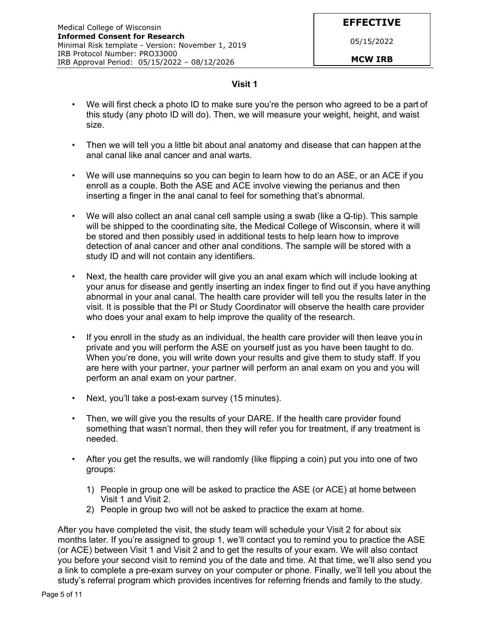**EFFECTIVE** 

05/15/2022

#### **Visit 1**

- We will first check a photo ID to make sure you're the person who agreed to be a part of this study (any photo ID will do). Then, we will measure your weight, height, and waist size.
- Then we will tell you a little bit about anal anatomy and disease that can happen at the anal canal like anal cancer and anal warts.
- We will use mannequins so you can begin to learn how to do an ASE, or an ACE if you enroll as a couple. Both the ASE and ACE involve viewing the perianus and then inserting a finger in the anal canal to feel for something that's abnormal.
- We will also collect an anal canal cell sample using a swab (like a Q-tip). This sample will be shipped to the coordinating site, the Medical College of Wisconsin, where it will be stored and then possibly used in additional tests to help learn how to improve detection of anal cancer and other anal conditions. The sample will be stored with a study ID and will not contain any identifiers.
- Next, the health care provider will give you an anal exam which will include looking at your anus for disease and gently inserting an index finger to find out if you have anything abnormal in your anal canal. The health care provider will tell you the results later in the visit. It is possible that the PI or Study Coordinator will observe the health care provider who does your anal exam to help improve the quality of the research.
- If you enroll in the study as an individual, the health care provider will then leave you in private and you will perform the ASE on yourself just as you have been taught to do. When you're done, you will write down your results and give them to study staff. If you are here with your partner, your partner will perform an anal exam on you and you will perform an anal exam on your partner.
- Next, you'll take a post-exam survey (15 minutes).
- Then, we will give you the results of your DARE. If the health care provider found something that wasn't normal, then they will refer you for treatment, if any treatment is needed.
- After you get the results, we will randomly (like flipping a coin) put you into one of two groups:
	- 1) People in group one will be asked to practice the ASE (or ACE) at home between Visit 1 and Visit 2.
	- 2) People in group two will not be asked to practice the exam at home.

After you have completed the visit, the study team will schedule your Visit 2 for about six months later. If you're assigned to group 1, we'll contact you to remind you to practice the ASE (or ACE) between Visit 1 and Visit 2 and to get the results of your exam. We will also contact you before your second visit to remind you of the date and time. At that time, we'll also send you a link to complete a pre-exam survey on your computer or phone. Finally, we'll tell you about the study's referral program which provides incentives for referring friends and family to the study.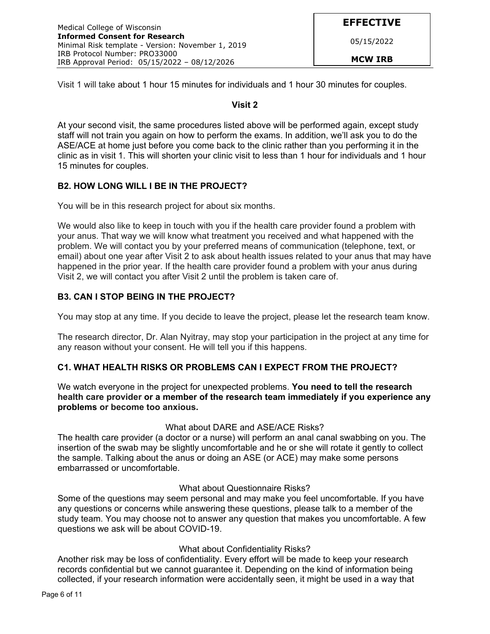Visit 1 will take about 1 hour 15 minutes for individuals and 1 hour 30 minutes for couples.

### **Visit 2**

At your second visit, the same procedures listed above will be performed again, except study staff will not train you again on how to perform the exams. In addition, we'll ask you to do the ASE/ACE at home just before you come back to the clinic rather than you performing it in the clinic as in visit 1. This will shorten your clinic visit to less than 1 hour for individuals and 1 hour 15 minutes for couples.

## **B2. HOW LONG WILL I BE IN THE PROJECT?**

You will be in this research project for about six months.

We would also like to keep in touch with you if the health care provider found a problem with your anus. That way we will know what treatment you received and what happened with the problem. We will contact you by your preferred means of communication (telephone, text, or email) about one year after Visit 2 to ask about health issues related to your anus that may have happened in the prior year. If the health care provider found a problem with your anus during Visit 2, we will contact you after Visit 2 until the problem is taken care of.

## **B3. CAN I STOP BEING IN THE PROJECT?**

You may stop at any time. If you decide to leave the project, please let the research team know.

The research director, Dr. Alan Nyitray, may stop your participation in the project at any time for any reason without your consent. He will tell you if this happens.

## **C1. WHAT HEALTH RISKS OR PROBLEMS CAN I EXPECT FROM THE PROJECT?**

We watch everyone in the project for unexpected problems. **You need to tell the research health care provider or a member of the research team immediately if you experience any problems or become too anxious.** 

### What about DARE and ASE/ACE Risks?

The health care provider (a doctor or a nurse) will perform an anal canal swabbing on you. The insertion of the swab may be slightly uncomfortable and he or she will rotate it gently to collect the sample. Talking about the anus or doing an ASE (or ACE) may make some persons embarrassed or uncomfortable.

### What about Questionnaire Risks?

Some of the questions may seem personal and may make you feel uncomfortable. If you have any questions or concerns while answering these questions, please talk to a member of the study team. You may choose not to answer any question that makes you uncomfortable. A few questions we ask will be about COVID-19.

## What about Confidentiality Risks?

Another risk may be loss of confidentiality. Every effort will be made to keep your research records confidential but we cannot guarantee it. Depending on the kind of information being collected, if your research information were accidentally seen, it might be used in a way that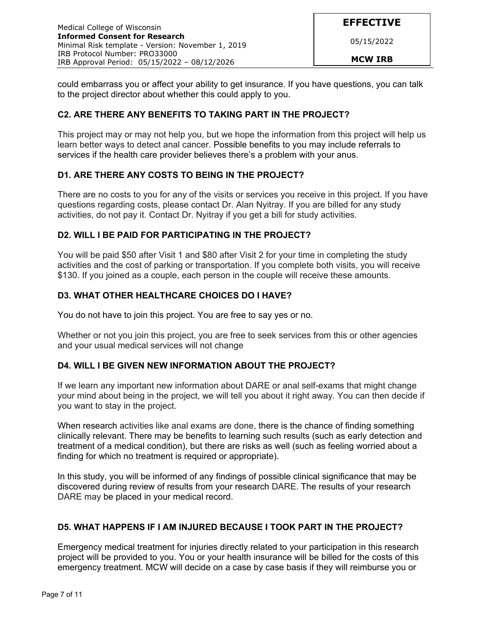05/15/2022

could embarrass you or affect your ability to get insurance. If you have questions, you can talk to the project director about whether this could apply to you.

## **C2. ARE THERE ANY BENEFITS TO TAKING PART IN THE PROJECT?**

This project may or may not help you, but we hope the information from this project will help us learn better ways to detect anal cancer. Possible benefits to you may include referrals to services if the health care provider believes there's a problem with your anus.

## **D1. ARE THERE ANY COSTS TO BEING IN THE PROJECT?**

There are no costs to you for any of the visits or services you receive in this project. If you have questions regarding costs, please contact Dr. Alan Nyitray. If you are billed for any study activities, do not pay it. Contact Dr. Nyitray if you get a bill for study activities.

## **D2. WILL I BE PAID FOR PARTICIPATING IN THE PROJECT?**

You will be paid \$50 after Visit 1 and \$80 after Visit 2 for your time in completing the study activities and the cost of parking or transportation. If you complete both visits, you will receive \$130. If you joined as a couple, each person in the couple will receive these amounts.

## **D3. WHAT OTHER HEALTHCARE CHOICES DO I HAVE?**

You do not have to join this project. You are free to say yes or no.

Whether or not you join this project, you are free to seek services from this or other agencies and your usual medical services will not change

### **D4. WILL I BE GIVEN NEW INFORMATION ABOUT THE PROJECT?**

If we learn any important new information about DARE or anal self-exams that might change your mind about being in the project, we will tell you about it right away. You can then decide if you want to stay in the project.

When research activities like anal exams are done, there is the chance of finding something clinically relevant. There may be benefits to learning such results (such as early detection and treatment of a medical condition), but there are risks as well (such as feeling worried about a finding for which no treatment is required or appropriate).

In this study, you will be informed of any findings of possible clinical significance that may be discovered during review of results from your research DARE. The results of your research DARE may be placed in your medical record.

### **D5. WHAT HAPPENS IF I AM INJURED BECAUSE I TOOK PART IN THE PROJECT?**

Emergency medical treatment for injuries directly related to your participation in this research project will be provided to you. You or your health insurance will be billed for the costs of this emergency treatment. MCW will decide on a case by case basis if they will reimburse you or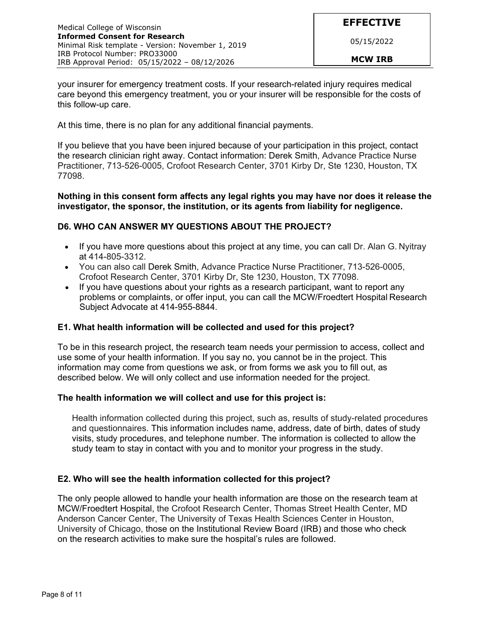your insurer for emergency treatment costs. If your research-related injury requires medical care beyond this emergency treatment, you or your insurer will be responsible for the costs of this follow-up care.

At this time, there is no plan for any additional financial payments.

If you believe that you have been injured because of your participation in this project, contact the research clinician right away. Contact information: Derek Smith, Advance Practice Nurse Practitioner, 713-526-0005, Crofoot Research Center, 3701 Kirby Dr, Ste 1230, Houston, TX 77098.

#### **Nothing in this consent form affects any legal rights you may have nor does it release the investigator, the sponsor, the institution, or its agents from liability for negligence.**

## **D6. WHO CAN ANSWER MY QUESTIONS ABOUT THE PROJECT?**

- If you have more questions about this project at any time, you can call Dr. Alan G. Nyitray at 414-805-3312.
- You can also call Derek Smith, Advance Practice Nurse Practitioner, 713-526-0005, Crofoot Research Center, 3701 Kirby Dr, Ste 1230, Houston, TX 77098.
- If you have questions about your rights as a research participant, want to report any problems or complaints, or offer input, you can call the MCW/Froedtert Hospital Research Subject Advocate at 414-955-8844.

### **E1. What health information will be collected and used for this project?**

To be in this research project, the research team needs your permission to access, collect and use some of your health information. If you say no, you cannot be in the project. This information may come from questions we ask, or from forms we ask you to fill out, as described below. We will only collect and use information needed for the project.

### **The health information we will collect and use for this project is:**

Health information collected during this project, such as, results of study-related procedures and questionnaires. This information includes name, address, date of birth, dates of study visits, study procedures, and telephone number. The information is collected to allow the study team to stay in contact with you and to monitor your progress in the study.

### **E2. Who will see the health information collected for this project?**

The only people allowed to handle your health information are those on the research team at MCW/Froedtert Hospital, the Crofoot Research Center, Thomas Street Health Center, MD Anderson Cancer Center, The University of Texas Health Sciences Center in Houston, University of Chicago, those on the Institutional Review Board (IRB) and those who check on the research activities to make sure the hospital's rules are followed.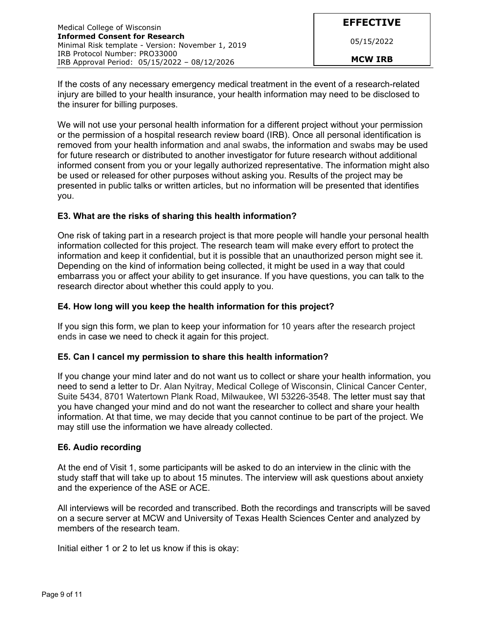If the costs of any necessary emergency medical treatment in the event of a research-related injury are billed to your health insurance, your health information may need to be disclosed to the insurer for billing purposes.

We will not use your personal health information for a different project without your permission or the permission of a hospital research review board (IRB). Once all personal identification is removed from your health information and anal swabs, the information and swabs may be used for future research or distributed to another investigator for future research without additional informed consent from you or your legally authorized representative. The information might also be used or released for other purposes without asking you. Results of the project may be presented in public talks or written articles, but no information will be presented that identifies you.

## **E3. What are the risks of sharing this health information?**

One risk of taking part in a research project is that more people will handle your personal health information collected for this project. The research team will make every effort to protect the information and keep it confidential, but it is possible that an unauthorized person might see it. Depending on the kind of information being collected, it might be used in a way that could embarrass you or affect your ability to get insurance. If you have questions, you can talk to the research director about whether this could apply to you.

## **E4. How long will you keep the health information for this project?**

If you sign this form, we plan to keep your information for 10 years after the research project ends in case we need to check it again for this project.

### **E5. Can I cancel my permission to share this health information?**

If you change your mind later and do not want us to collect or share your health information, you need to send a letter to Dr. Alan Nyitray, Medical College of Wisconsin, Clinical Cancer Center, Suite 5434, 8701 Watertown Plank Road, Milwaukee, WI 53226-3548. The letter must say that you have changed your mind and do not want the researcher to collect and share your health information. At that time, we may decide that you cannot continue to be part of the project. We may still use the information we have already collected.

### **E6. Audio recording**

At the end of Visit 1, some participants will be asked to do an interview in the clinic with the study staff that will take up to about 15 minutes. The interview will ask questions about anxiety and the experience of the ASE or ACE.

All interviews will be recorded and transcribed. Both the recordings and transcripts will be saved on a secure server at MCW and University of Texas Health Sciences Center and analyzed by members of the research team.

Initial either 1 or 2 to let us know if this is okay: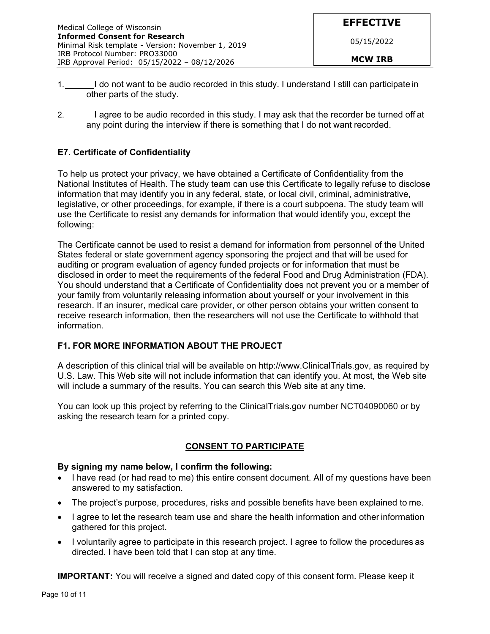- 1. I do not want to be audio recorded in this study. I understand I still can participate in other parts of the study.
- 2. I agree to be audio recorded in this study. I may ask that the recorder be turned off at any point during the interview if there is something that I do not want recorded.

## **E7. Certificate of Confidentiality**

To help us protect your privacy, we have obtained a Certificate of Confidentiality from the National Institutes of Health. The study team can use this Certificate to legally refuse to disclose information that may identify you in any federal, state, or local civil, criminal, administrative, legislative, or other proceedings, for example, if there is a court subpoena. The study team will use the Certificate to resist any demands for information that would identify you, except the following:

The Certificate cannot be used to resist a demand for information from personnel of the United States federal or state government agency sponsoring the project and that will be used for auditing or program evaluation of agency funded projects or for information that must be disclosed in order to meet the requirements of the federal Food and Drug Administration (FDA). You should understand that a Certificate of Confidentiality does not prevent you or a member of your family from voluntarily releasing information about yourself or your involvement in this research. If an insurer, medical care provider, or other person obtains your written consent to receive research information, then the researchers will not use the Certificate to withhold that information.

### **F1. FOR MORE INFORMATION ABOUT THE PROJECT**

A description of this clinical trial will be available on http://www.ClinicalTrials.gov, as required by U.S. Law. This Web site will not include information that can identify you. At most, the Web site will include a summary of the results. You can search this Web site at any time.

You can look up this project by referring to the ClinicalTrials.gov number NCT04090060 or by asking the research team for a printed copy.

### **CONSENT TO PARTICIPATE**

#### **By signing my name below, I confirm the following:**

- I have read (or had read to me) this entire consent document. All of my questions have been answered to my satisfaction.
- The project's purpose, procedures, risks and possible benefits have been explained to me.
- I agree to let the research team use and share the health information and other information gathered for this project.
- I voluntarily agree to participate in this research project. I agree to follow the procedures as directed. I have been told that I can stop at any time.

**IMPORTANT:** You will receive a signed and dated copy of this consent form. Please keep it